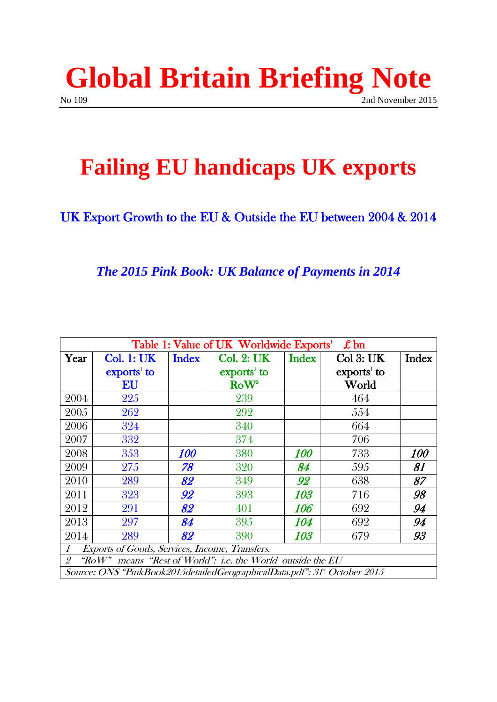

# **Failing EU handicaps UK exports**

### UK Export Growth to the EU & Outside the EU between 2004 & 2014

#### *The 2015 Pink Book: UK Balance of Payments in 2014*

| Table 1: Value of UK Worldwide Exports <sup>1</sup><br>$\pounds$ bn      |                                                 |              |                                                 |              |                     |              |
|--------------------------------------------------------------------------|-------------------------------------------------|--------------|-------------------------------------------------|--------------|---------------------|--------------|
| Year                                                                     | <b>Col. 1: UK</b>                               | <b>Index</b> | <b>Col. 2: UK</b>                               | <b>Index</b> | $Col$ 3: UK         | <b>Index</b> |
|                                                                          | $\boldsymbol{\mathrm{exports}}^{\mathrm{1}}$ to |              | $\boldsymbol{\mathrm{exports}}^{\mathrm{1}}$ to |              | $\rm\,exports^1$ to |              |
|                                                                          | EU                                              |              | Row <sup>2</sup>                                |              | World               |              |
| 2004                                                                     | 225                                             |              | 239                                             |              | 464                 |              |
| 2005                                                                     | 262                                             |              | 292                                             |              | 554                 |              |
| 2006                                                                     | 324                                             |              | 340                                             |              | 664                 |              |
| 2007                                                                     | 332                                             |              | 374                                             |              | 706                 |              |
| 2008                                                                     | 353                                             | 100          | 380                                             | 100          | 733                 | <i>100</i>   |
| 2009                                                                     | 275                                             | 78           | 320                                             | 84           | 595                 | 81           |
| 2010                                                                     | 289                                             | 82           | 349                                             | 92           | 638                 | 87           |
| 2011                                                                     | 323                                             | 92           | 393                                             | 103          | 716                 | 98           |
| 2012                                                                     | 291                                             | 82           | 401                                             | 106          | 692                 | 94           |
| 2013                                                                     | 297                                             | 84           | 395                                             | <i>104</i>   | 692                 | 94           |
| 2014                                                                     | 289                                             | 82           | 390                                             | <i>103</i>   | 679                 | 93           |
| Exports of Goods, Services, Income, Transfers.<br>1                      |                                                 |              |                                                 |              |                     |              |
| means "Rest of World": i.e. the World outside the EU<br>RoW"<br>2        |                                                 |              |                                                 |              |                     |              |
| Source: ONS "PinkBook2015detailedGeographicalData.pdf": 31" October 2015 |                                                 |              |                                                 |              |                     |              |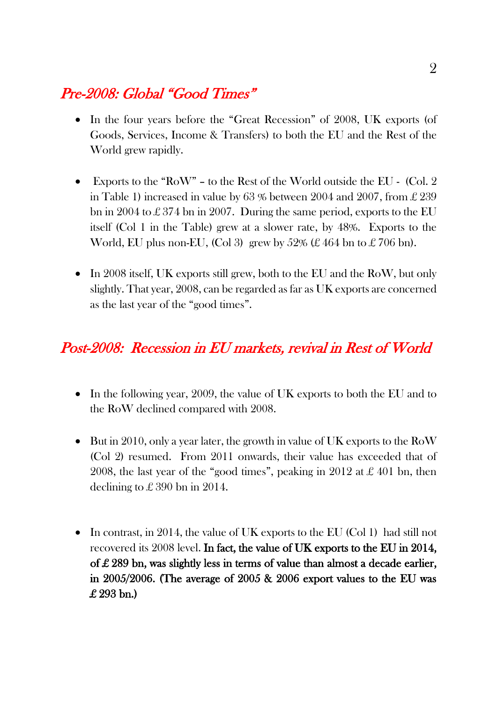## Pre-2008: Global "Good Times"

- In the four years before the "Great Recession" of 2008, UK exports (of Goods, Services, Income & Transfers) to both the EU and the Rest of the World grew rapidly.
- Exports to the "RoW" to the Rest of the World outside the EU (Col. 2 in Table 1) increased in value by 63 % between 2004 and 2007, from £ 239 bn in 2004 to £ 374 bn in 2007. During the same period, exports to the EU itself (Col 1 in the Table) grew at a slower rate, by 48%. Exports to the World, EU plus non-EU, (Col 3) grew by  $52\% \not\in 464$  bn to  $\pounds 706$  bn).
- In 2008 itself, UK exports still grew, both to the EU and the RoW, but only slightly. That year, 2008, can be regarded as far as UK exports are concerned as the last year of the "good times".

### Post-2008: Recession in EU markets, revival in Rest of World

- In the following year, 2009, the value of UK exports to both the EU and to the RoW declined compared with 2008.
- But in 2010, only a year later, the growth in value of UK exports to the RoW (Col 2) resumed. From 2011 onwards, their value has exceeded that of 2008, the last year of the "good times", peaking in 2012 at  $\pounds$  401 bn, then declining to  $\pounds 390$  bn in 2014.
- In contrast, in 2014, the value of UK exports to the EU (Col 1) had still not recovered its 2008 level. In fact, the value of UK exports to the EU in 2014, of £ 289 bn, was slightly less in terms of value than almost a decade earlier, in 2005/2006. (The average of 2005 & 2006 export values to the EU was £ 293 bn.)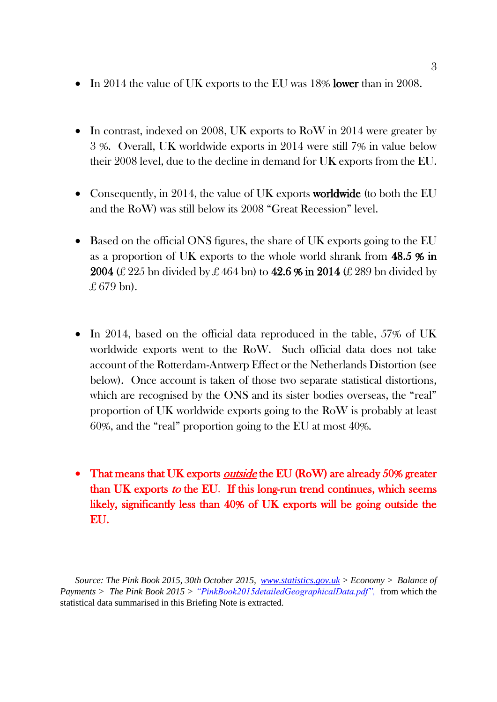- In 2014 the value of UK exports to the EU was 18% lower than in 2008.
- In contrast, indexed on 2008, UK exports to RoW in 2014 were greater by 3 %. Overall, UK worldwide exports in 2014 were still 7% in value below their 2008 level, due to the decline in demand for UK exports from the EU.
- Consequently, in 2014, the value of UK exports **worldwide** (to both the EU and the RoW) was still below its 2008 "Great Recession" level.
- Based on the official ONS figures, the share of UK exports going to the EU as a proportion of UK exports to the whole world shrank from 48.5 % in 2004 (£ 225 bn divided by £ 464 bn) to 42.6  $\%$  in 2014 (£ 289 bn divided by  $£ 679 \text{ bn}$ .
- In 2014, based on the official data reproduced in the table, 57% of UK worldwide exports went to the RoW. Such official data does not take account of the Rotterdam-Antwerp Effect or the Netherlands Distortion (see below). Once account is taken of those two separate statistical distortions, which are recognised by the ONS and its sister bodies overseas, the "real" proportion of UK worldwide exports going to the RoW is probably at least 60%, and the "real" proportion going to the EU at most 40%.
- That means that UK exports *outside* the EU (RoW) are already 50% greater than UK exports to the EU. If this long-run trend continues, which seems likely, significantly less than 40% of UK exports will be going outside the EU.

*Source: The Pink Book 2015, 30th October 2015, [www.statistics.gov.uk](http://www.statistics.gov.uk/) > Economy > Balance of Payments > The Pink Book 2015 > "PinkBook2015detailedGeographicalData.pdf"*, from which the statistical data summarised in this Briefing Note is extracted.